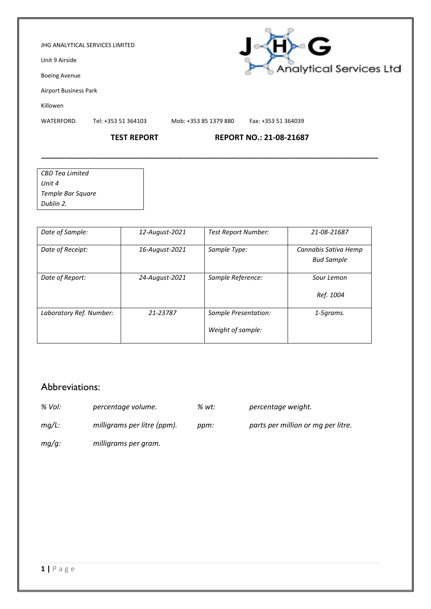#### JHG ANALYTICAL SERVICES LIMITED

Unit 9 Airside

Boeing Avenue

Airport Business Park

Killowen

WATERFORD. Tel: +353 51 364103 Mob: +353 85 1379 880 Fax: +353 51 364039

**\_\_\_\_\_\_\_\_\_\_\_\_\_\_\_\_\_\_\_\_\_\_\_\_\_\_\_\_\_\_\_\_\_\_\_\_\_\_\_\_\_\_\_\_\_\_\_\_\_\_\_\_\_\_\_\_\_\_\_\_\_\_\_\_\_\_\_\_\_\_\_\_\_\_\_\_\_\_\_\_\_\_\_\_\_**

### **TEST REPORT REPORT NO.: 21-08-21687**

| CBD Tea Limited   |  |
|-------------------|--|
| Unit 4            |  |
| Temple Bar Square |  |
| Dublin 2.         |  |

| Date of Sample:         | 12-August-2021 | <b>Test Report Number:</b>                | 21-08-21687                               |
|-------------------------|----------------|-------------------------------------------|-------------------------------------------|
| Date of Receipt:        | 16-August-2021 | Sample Type:                              | Cannabis Sativa Hemp<br><b>Bud Sample</b> |
| Date of Report:         | 24-August-2021 | Sample Reference:                         | Sour Lemon<br>Ref. 1004                   |
| Laboratory Ref. Number: | 21-23787       | Sample Presentation:<br>Weight of sample: | 1-5grams.                                 |

## Abbreviations:

- *% Vol: percentage volume. % wt: percentage weight.*
- 
- *mg/L: milligrams per litre (ppm). ppm: parts per million or mg per litre.*
- *mg/g: milligrams per gram.*